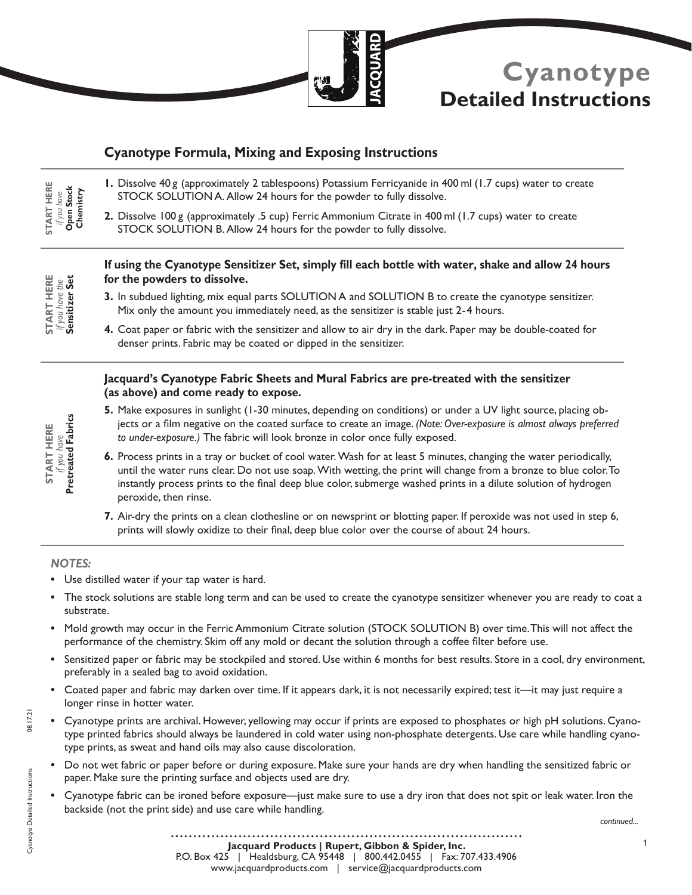

# **Cyanotype Detailed Instructions**

# **Cyanotype Formula, Mixing and Exposing Instructions**

- **1.** Dissolve 40 g (approximately 2 tablespoons) Potassium Ferricyanide in 400 ml (1.7 cups) water to create STOCK SOLUTION A. Allow 24 hours for the powder to fully dissolve.
	- **2.** Dissolve 100 g (approximately .5 cup) Ferric Ammonium Citrate in 400 ml (1.7 cups) water to create STOCK SOLUTION B. Allow 24 hours for the powder to fully dissolve.

|  | Ü |
|--|---|
|  |   |
|  | - |
|  |   |

**START HERE**  *if you have* **Chemistry Open Stock** 

**START HERE** 

### **If using the Cyanotype Sensitizer Set, simply fill each bottle with water, shake and allow 24 hours for the powders to dissolve.**

- **3.** In subdued lighting, mix equal parts SOLUTION A and SOLUTION B to create the cyanotype sensitizer. Mix only the amount you immediately need, as the sensitizer is stable just 2-4 hours.
- **4.** Coat paper or fabric with the sensitizer and allow to air dry in the dark. Paper may be double-coated for denser prints. Fabric may be coated or dipped in the sensitizer.

## **Jacquard's Cyanotype Fabric Sheets and Mural Fabrics are pre-treated with the sensitizer (as above) and come ready to expose.**

- **5.** Make exposures in sunlight (1-30 minutes, depending on conditions) or under a UV light source, placing objects or a film negative on the coated surface to create an image. *(Note: Over-exposure is almost always preferred to under-exposure.)* The fabric will look bronze in color once fully exposed.
- **6.** Process prints in a tray or bucket of cool water. Wash for at least 5 minutes, changing the water periodically, until the water runs clear. Do not use soap. With wetting, the print will change from a bronze to blue color. To instantly process prints to the final deep blue color, submerge washed prints in a dilute solution of hydrogen peroxide, then rinse.
- **7.** Air-dry the prints on a clean clothesline or on newsprint or blotting paper. If peroxide was not used in step 6, prints will slowly oxidize to their final, deep blue color over the course of about 24 hours.

#### *NOTES:*

- **•** Use distilled water if your tap water is hard.
- **•** The stock solutions are stable long term and can be used to create the cyanotype sensitizer whenever you are ready to coat a substrate.
- **•** Mold growth may occur in the Ferric Ammonium Citrate solution (STOCK SOLUTION B) over time. This will not affect the performance of the chemistry. Skim off any mold or decant the solution through a coffee filter before use.
- **•** Sensitized paper or fabric may be stockpiled and stored. Use within 6 months for best results. Store in a cool, dry environment, preferably in a sealed bag to avoid oxidation.
- **•** Coated paper and fabric may darken over time. If it appears dark, it is not necessarily expired; test it—it may just require a longer rinse in hotter water.
- **•** Cyanotype prints are archival. However, yellowing may occur if prints are exposed to phosphates or high pH solutions. Cyanotype printed fabrics should always be laundered in cold water using non-phosphate detergents. Use care while handling cyanotype prints, as sweat and hand oils may also cause discoloration.
- **•** Do not wet fabric or paper before or during exposure. Make sure your hands are dry when handling the sensitized fabric or paper. Make sure the printing surface and objects used are dry.
- **•** Cyanotype fabric can be ironed before exposure—just make sure to use a dry iron that does not spit or leak water. Iron the backside (not the print side) and use care while handling.

1

*if you have*<br>**Pretreated Fabrics Pretreated Fabrics START HERE START HERE**

Cyanotye Detailed Instructions 08.17.21Cyanotye Detailed Instructions

08.17.21